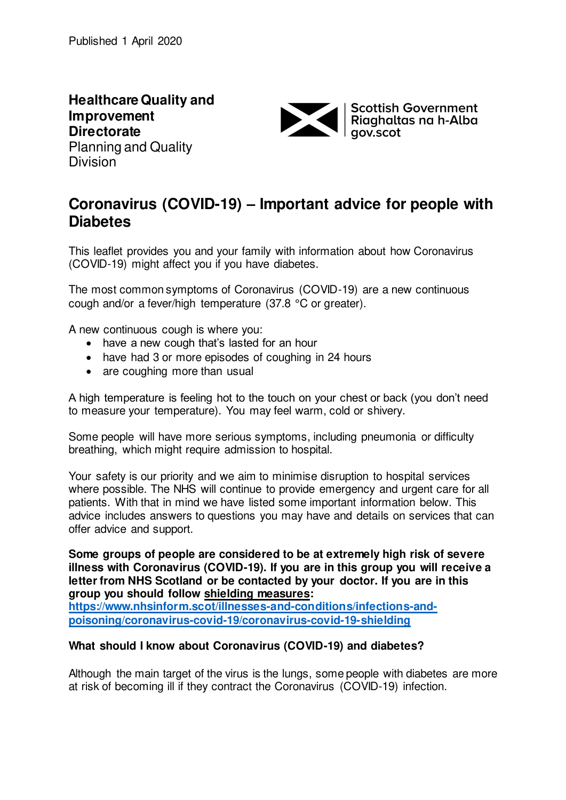**Healthcare Quality and Improvement Directorate**  Planning and Quality **Division** 



# **Coronavirus (COVID-19) – Important advice for people with Diabetes**

This leaflet provides you and your family with information about how Coronavirus (COVID-19) might affect you if you have diabetes.

The most common symptoms of Coronavirus (COVID-19) are a new continuous cough and/or a fever/high temperature (37.8 °C or greater).

A new continuous cough is where you:

- have a new cough that's lasted for an hour
- have had 3 or more episodes of coughing in 24 hours
- are coughing more than usual

A high temperature is feeling hot to the touch on your chest or back (you don't need to measure your temperature). You may feel warm, cold or shivery.

Some people will have more serious symptoms, including pneumonia or difficulty breathing, which might require admission to hospital.

Your safety is our priority and we aim to minimise disruption to hospital services where possible. The NHS will continue to provide emergency and urgent care for all patients. With that in mind we have listed some important information below. This advice includes answers to questions you may have and details on services that can offer advice and support.

**Some groups of people are considered to be at extremely high risk of severe illness with Coronavirus (COVID-19). If you are in this group you will receive a letter from NHS Scotland or be contacted by your doctor. If you are in this group you should follow [shielding measures:](https://www.nhsinform.scot/illnesses-and-conditions/infections-and-poisoning/coronavirus-covid-19/coronavirus-covid-19-shielding)** 

**[https://www.nhsinform.scot/illnesses-and-conditions/infections-and](https://www.nhsinform.scot/illnesses-and-conditions/infections-and-poisoning/coronavirus-covid-19/coronavirus-covid-19-shielding)[poisoning/coronavirus-covid-19/coronavirus-covid-19-shielding](https://www.nhsinform.scot/illnesses-and-conditions/infections-and-poisoning/coronavirus-covid-19/coronavirus-covid-19-shielding)**

# **What should I know about Coronavirus (COVID-19) and diabetes?**

Although the main target of the virus is the lungs, some people with diabetes are more at risk of becoming ill if they contract the Coronavirus (COVID-19) infection.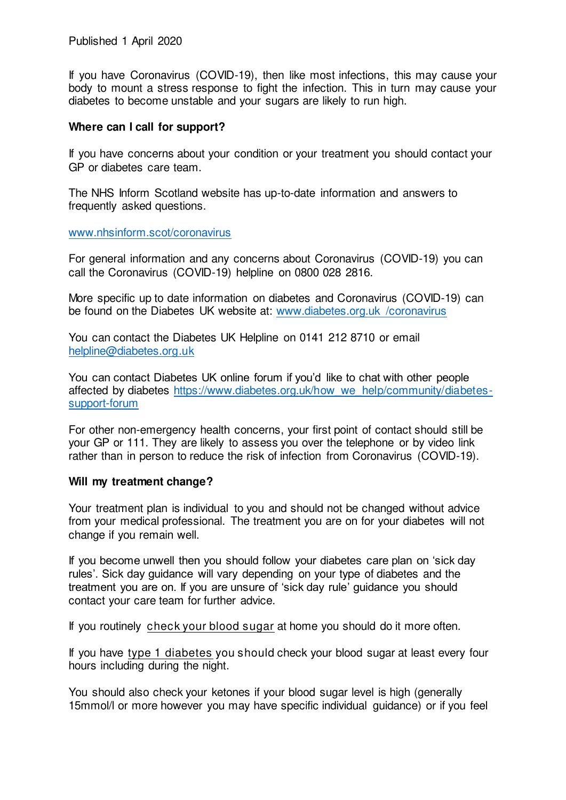Published 1 April 2020

If you have Coronavirus (COVID-19), then like most infections, this may cause your body to mount a stress response to fight the infection. This in turn may cause your diabetes to become unstable and your sugars are likely to run high.

#### **Where can I call for support?**

If you have concerns about your condition or your treatment you should contact your GP or diabetes care team.

The NHS Inform Scotland website has up-to-date information and answers to frequently asked questions.

#### [www.nhsinform.scot/coronavirus](http://www.nhsinform.scot/coronavirus)

For general information and any concerns about Coronavirus (COVID-19) you can call the Coronavirus (COVID-19) helpline on 0800 028 2816.

More specific up to date information on diabetes and Coronavirus (COVID-19) can be found on the Diabetes UK website at: www.diabetes.org.uk /coronavirus

You can contact the Diabetes UK Helpline on 0141 212 8710 or email [helpline@diabetes.org.uk](mailto:helpline@diabetes.org.uk)

You can contact Diabetes UK online forum if you'd like to chat with other people affected by diabetes [https://www.diabetes.org.uk/how\\_we\\_help/community/diabetes](https://www.diabetes.org.uk/how_we_help/community/diabetes-support-forum)[support-forum](https://www.diabetes.org.uk/how_we_help/community/diabetes-support-forum)

For other non-emergency health concerns, your first point of contact should still be your GP or 111. They are likely to assess you over the telephone or by video link rather than in person to reduce the risk of infection from Coronavirus (COVID-19).

#### **Will my treatment change?**

Your treatment plan is individual to you and should not be changed without advice from your medical professional. The treatment you are on for your diabetes will not change if you remain well.

If you become unwell then you should follow your diabetes care plan on 'sick day rules'. Sick day guidance will vary depending on your type of diabetes and the treatment you are on. If you are unsure of 'sick day rule' guidance you should contact your care team for further advice.

If you routinely [check your blood sugar](https://www.diabetes.org.uk/guide-to-diabetes/managing-your-diabetes/testing) at home you should do it more often.

If you have [type 1 diabetes](https://www.diabetes.org.uk/diabetes-the-basics/what-is-type-1-diabetes) you should check your blood sugar at least every four hours including during the night.

You should also check your [ketones](https://www.diabetes.org.uk/guide-to-diabetes/managing-your-diabetes/ketones-and-diabetes) if your blood sugar level is high (generally 15mmol/l or more however you may have specific individual guidance) or if you feel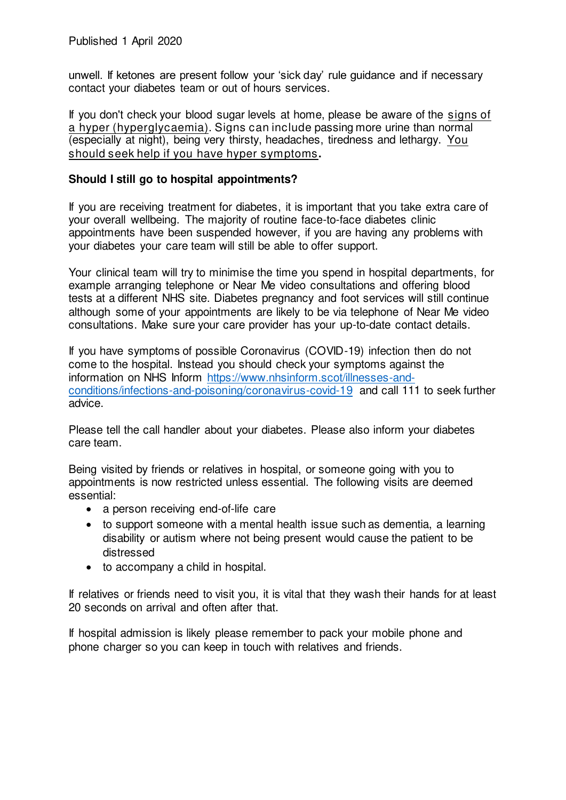unwell. If ketones are present follow your 'sick day' rule guidance and if necessary contact your diabetes team or out of hours services.

If you don't check your blood sugar levels at home, please be aware of the [signs of](https://www.diabetes.org.uk/guide-to-diabetes/complications/hypers)  [a hyper \(hyperglycaemia\)](https://www.diabetes.org.uk/guide-to-diabetes/complications/hypers). Signs can include passing more urine than normal (especially at night), being very thirsty, headaches, tiredness and lethargy. You should seek help if you have hyper symptoms**.** 

# **Should I still go to hospital appointments?**

If you are receiving treatment for diabetes, it is important that you take extra care of your overall wellbeing. The majority of routine face-to-face diabetes clinic appointments have been suspended however, if you are having any problems with your diabetes your care team will still be able to offer support.

Your clinical team will try to minimise the time you spend in hospital departments, for example arranging telephone or Near Me video consultations and offering blood tests at a different NHS site. Diabetes pregnancy and foot services will still continue although some of your appointments are likely to be via telephone of Near Me video consultations. Make sure your care provider has your up-to-date contact details.

If you have symptoms of possible Coronavirus (COVID-19) infection then do not come to the hospital. Instead you should check your symptoms against the information on NHS Inform [https://www.nhsinform.scot/illnesses-and](https://www.nhsinform.scot/illnesses-and-conditions/infections-and-poisoning/coronavirus-covid-19)[conditions/infections-and-poisoning/coronavirus-covid-19](https://www.nhsinform.scot/illnesses-and-conditions/infections-and-poisoning/coronavirus-covid-19) and call 111 to seek further advice.

Please tell the call handler about your diabetes. Please also inform your diabetes care team.

Being visited by friends or relatives in hospital, or someone going with you to appointments is now restricted unless essential. The following visits are deemed essential:

- a person receiving end-of-life care
- to support someone with a mental health issue such as dementia, a learning disability or autism where not being present would cause the patient to be distressed
- to accompany a child in hospital.

If relatives or friends need to visit you, it is vital that they wash their hands for at least 20 seconds on arrival and often after that.

If hospital admission is likely please remember to pack your mobile phone and phone charger so you can keep in touch with relatives and friends.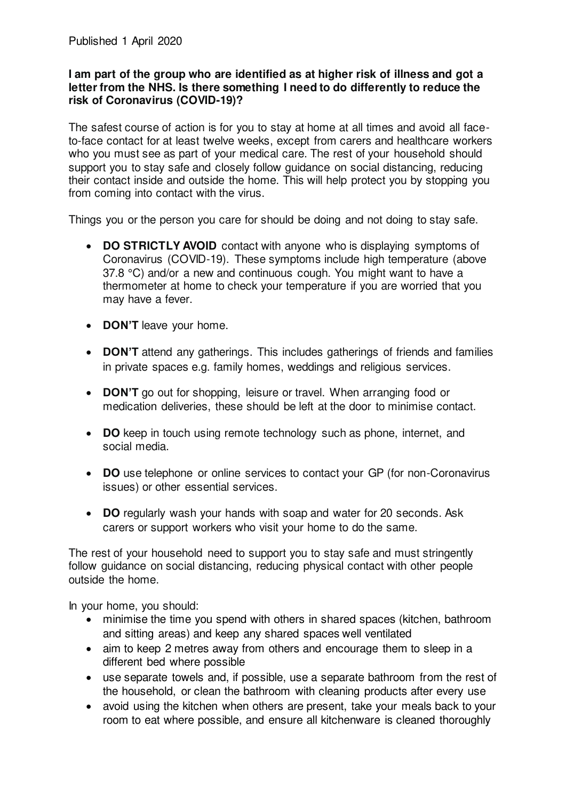# **I am part of the group who are identified as at higher risk of illness and got a letter from the NHS. Is there something I need to do differently to reduce the risk of Coronavirus (COVID-19)?**

The safest course of action is for you to stay at home at all times and avoid all faceto-face contact for at least twelve weeks, except from carers and healthcare workers who you must see as part of your medical care. The rest of your household should support you to stay safe and closely follow guidance on social distancing, reducing their contact inside and outside the home. This will help protect you by stopping you from coming into contact with the virus.

Things you or the person you care for should be doing and not doing to stay safe.

- **DO STRICTLY AVOID** contact with anyone who is displaying symptoms of Coronavirus (COVID-19). These symptoms include high temperature (above 37.8 °C) and/or a new and continuous cough. You might want to have a thermometer at home to check your temperature if you are worried that you may have a fever.
- **DON'T** leave your home.
- **DON'T** attend any gatherings. This includes gatherings of friends and families in private spaces e.g. family homes, weddings and religious services.
- **DON'T** go out for shopping, leisure or travel. When arranging food or medication deliveries, these should be left at the door to minimise contact.
- **DO** keep in touch using remote technology such as phone, internet, and social media.
- **DO** use telephone or online services to contact your GP (for non-Coronavirus issues) or other essential services.
- **DO** regularly wash your hands with soap and water for 20 seconds. Ask carers or support workers who visit your home to do the same.

The rest of your household need to support you to stay safe and must stringently follow guidance on social distancing, reducing physical contact with other people outside the home.

In your home, you should:

- minimise the time you spend with others in shared spaces (kitchen, bathroom and sitting areas) and keep any shared spaces well ventilated
- aim to keep 2 metres away from others and encourage them to sleep in a different bed where possible
- use separate towels and, if possible, use a separate bathroom from the rest of the household, or clean the bathroom with cleaning products after every use
- avoid using the kitchen when others are present, take your meals back to your room to eat where possible, and ensure all kitchenware is cleaned thoroughly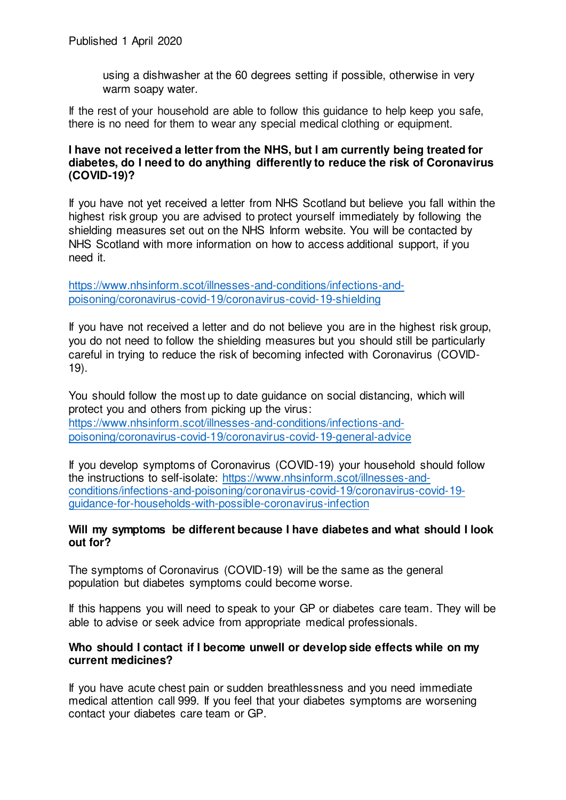using a dishwasher at the 60 degrees setting if possible, otherwise in very warm soapy water.

If the rest of your household are able to follow this guidance to help keep you safe, there is no need for them to wear any special medical clothing or equipment.

# **I have not received a letter from the NHS, but I am currently being treated for diabetes, do I need to do anything differently to reduce the risk of Coronavirus (COVID-19)?**

If you have not yet received a letter from NHS Scotland but believe you fall within the highest risk group you are advised to protect yourself immediately by following the shielding measures set out on the NHS Inform website. You will be contacted by NHS Scotland with more information on how to access additional support, if you need it.

[https://www.nhsinform.scot/illnesses-and-conditions/infections-and](https://www.nhsinform.scot/illnesses-and-conditions/infections-and-poisoning/coronavirus-covid-19/coronavirus-covid-19-shielding)[poisoning/coronavirus-covid-19/coronavirus-covid-19-shielding](https://www.nhsinform.scot/illnesses-and-conditions/infections-and-poisoning/coronavirus-covid-19/coronavirus-covid-19-shielding)

If you have not received a letter and do not believe you are in the highest risk group, you do not need to follow the shielding measures but you should still be particularly careful in trying to reduce the risk of becoming infected with Coronavirus (COVID-19).

You should follow the most up to date guidance on social distancing, which will protect you and others from picking up the virus: [https://www.nhsinform.scot/illnesses-and-conditions/infections-and](https://www.nhsinform.scot/illnesses-and-conditions/infections-and-poisoning/coronavirus-covid-19/coronavirus-covid-19-general-advice)[poisoning/coronavirus-covid-19/coronavirus-covid-19-general-advice](https://www.nhsinform.scot/illnesses-and-conditions/infections-and-poisoning/coronavirus-covid-19/coronavirus-covid-19-general-advice)

If you develop symptoms of Coronavirus (COVID-19) your household should follow the instructions to self-isolate: [https://www.nhsinform.scot/illnesses-and](https://www.nhsinform.scot/illnesses-and-conditions/infections-and-poisoning/coronavirus-covid-19/coronavirus-covid-19-guidance-for-households-with-possible-coronavirus-infection)[conditions/infections-and-poisoning/coronavirus-covid-19/coronavirus-covid-19](https://www.nhsinform.scot/illnesses-and-conditions/infections-and-poisoning/coronavirus-covid-19/coronavirus-covid-19-guidance-for-households-with-possible-coronavirus-infection) [guidance-for-households-with-possible-coronavirus-infection](https://www.nhsinform.scot/illnesses-and-conditions/infections-and-poisoning/coronavirus-covid-19/coronavirus-covid-19-guidance-for-households-with-possible-coronavirus-infection)

# **Will my symptoms be different because I have diabetes and what should I look out for?**

The symptoms of Coronavirus (COVID-19) will be the same as the general population but diabetes symptoms could become worse.

If this happens you will need to speak to your GP or diabetes care team. They will be able to advise or seek advice from appropriate medical professionals.

# **Who should I contact if I become unwell or develop side effects while on my current medicines?**

If you have acute chest pain or sudden breathlessness and you need immediate medical attention call 999. If you feel that your diabetes symptoms are worsening contact your diabetes care team or GP.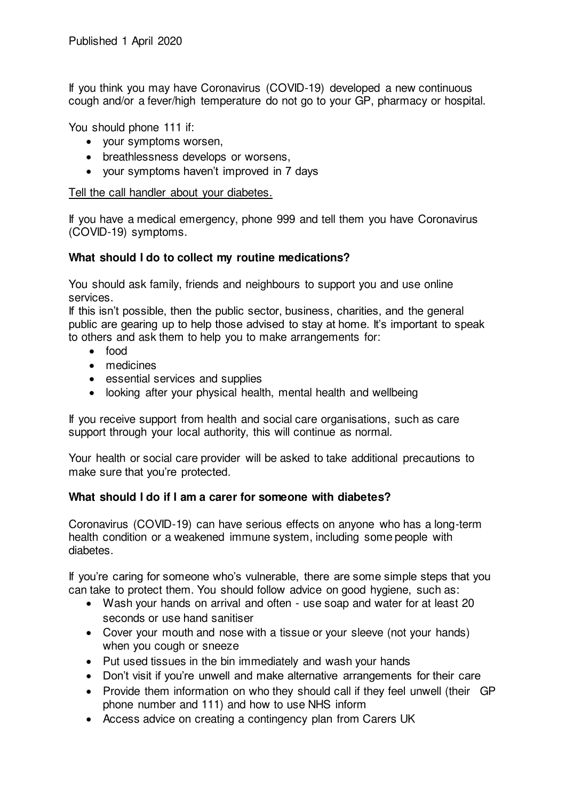If you think you may have Coronavirus (COVID-19) developed a new continuous cough and/or a fever/high temperature do not go to your GP, pharmacy or hospital.

You should phone 111 if:

- your symptoms worsen,
- breathlessness develops or worsens.
- your symptoms haven't improved in 7 days

Tell the call handler about your diabetes.

If you have a medical emergency, phone 999 and tell them you have Coronavirus (COVID-19) symptoms.

# **What should I do to collect my routine medications?**

You should ask family, friends and neighbours to support you and use online services.

If this isn't possible, then the public sector, business, charities, and the general public are gearing up to help those advised to stay at home. It's important to speak to others and ask them to help you to make arrangements for:

- food
- medicines
- essential services and supplies
- looking after your physical health, mental health and wellbeing

If you receive support from health and social care organisations, such as care support through your local authority, this will continue as normal.

Your health or social care provider will be asked to take additional precautions to make sure that you're protected.

# **What should I do if I am a carer for someone with diabetes?**

Coronavirus (COVID-19) can have serious effects on anyone who has a long-term health condition or a weakened immune system, including some people with diabetes.

If you're caring for someone who's vulnerable, there are some simple steps that you can take to protect them. You should follow advice on good hygiene, such as:

- Wash your hands on arrival and often use soap and water for at least 20 seconds or use hand sanitiser
- Cover your mouth and nose with a tissue or your sleeve (not your hands) when you cough or sneeze
- Put used tissues in the bin immediately and wash your hands
- Don't visit if you're unwell and make alternative arrangements for their care
- Provide them information on who they should call if they feel unwell (their GP phone number and 111) and how to use NHS inform
- Access advice on creating a contingency plan from Carers UK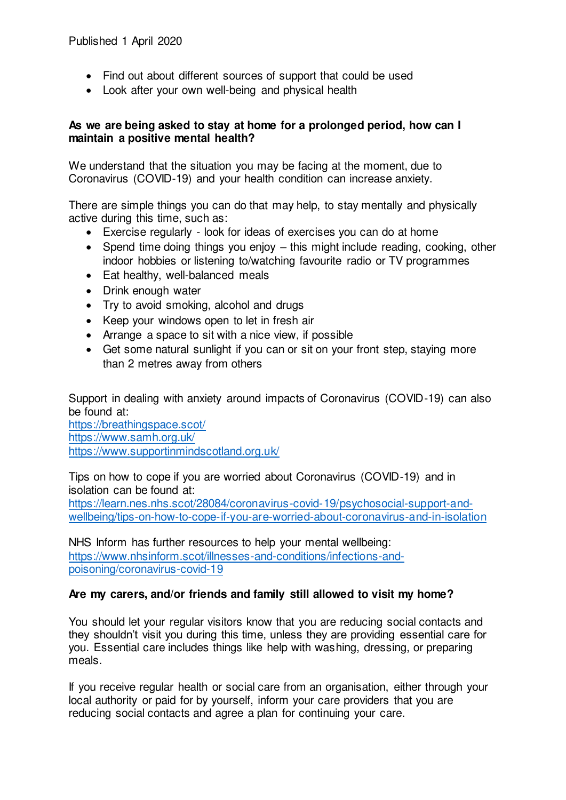- Find out about different sources of support that could be used
- Look after your own well-being and physical health

# **As we are being asked to stay at home for a prolonged period, how can I maintain a positive mental health?**

We understand that the situation you may be facing at the moment, due to Coronavirus (COVID-19) and your health condition can increase anxiety.

There are simple things you can do that may help, to stay mentally and physically active during this time, such as:

- Exercise regularly look for ideas of exercises you can do at home
- Spend time doing things you enjoy this might include reading, cooking, other indoor hobbies or listening to/watching favourite radio or TV programmes
- Eat healthy, well-balanced meals
- Drink enough water
- Try to avoid smoking, alcohol and drugs
- Keep your windows open to let in fresh air
- Arrange a space to sit with a nice view, if possible
- Get some natural sunlight if you can or sit on your front step, staying more than 2 metres away from others

Support in dealing with anxiety around impacts of Coronavirus (COVID-19) can also be found at:

<https://breathingspace.scot/> <https://www.samh.org.uk/> <https://www.supportinmindscotland.org.uk/>

Tips on how to cope if you are worried about Coronavirus (COVID-19) and in isolation can be found at:

[https://learn.nes.nhs.scot/28084/coronavirus-covid-19/psychosocial-support-and](https://learn.nes.nhs.scot/28084/coronavirus-covid-19/psychosocial-support-and-wellbeing/tips-on-how-to-cope-if-you-are-worried-about-coronavirus-and-in-isolation)[wellbeing/tips-on-how-to-cope-if-you-are-worried-about-coronavirus-and-in-isolation](https://learn.nes.nhs.scot/28084/coronavirus-covid-19/psychosocial-support-and-wellbeing/tips-on-how-to-cope-if-you-are-worried-about-coronavirus-and-in-isolation) 

NHS Inform has further resources to help your mental wellbeing: [https://www.nhsinform.scot/illnesses-and-conditions/infections-and](https://www.nhsinform.scot/illnesses-and-conditions/infections-and-poisoning/coronavirus-covid-19)[poisoning/coronavirus-covid-19](https://www.nhsinform.scot/illnesses-and-conditions/infections-and-poisoning/coronavirus-covid-19) 

# **Are my carers, and/or friends and family still allowed to visit my home?**

You should let your regular visitors know that you are reducing social contacts and they shouldn't visit you during this time, unless they are providing essential care for you. Essential care includes things like help with washing, dressing, or preparing meals.

If you receive regular health or social care from an organisation, either through your local authority or paid for by yourself, inform your care providers that you are reducing social contacts and agree a plan for continuing your care.